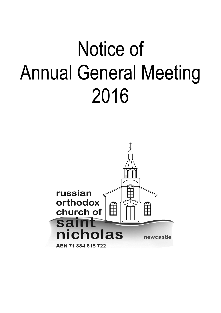# Notice of Annual General Meeting 2016

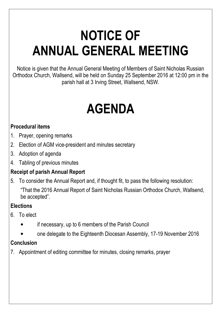# NOTICE OF ANNUAL GENERAL MEETING

Notice is given that the Annual General Meeting of Members of Saint Nicholas Russian Orthodox Church, Wallsend, will be held on Sunday 25 September 2016 at 12:00 pm in the parish hall at 3 Irving Street, Wallsend, NSW.

# AGENDA

## Procedural items

- 1. Prayer, opening remarks
- 2. Election of AGM vice-president and minutes secretary
- 3. Adoption of agenda
- 4. Tabling of previous minutes

# Receipt of parish Annual Report

5. To consider the Annual Report and, if thought fit, to pass the following resolution: "That the 2016 Annual Report of Saint Nicholas Russian Orthodox Church, Wallsend, be accepted".

## **Elections**

- 6. To elect
	- if necessary, up to 6 members of the Parish Council
	- one delegate to the Eighteenth Diocesan Assembly, 17-19 November 2016

## Conclusion

7. Appointment of editing committee for minutes, closing remarks, prayer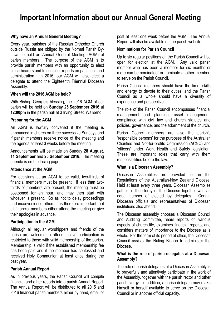# Important Information about our Annual General Meeting

#### Why have an Annual General Meeting?

Every year, parishes of the Russian Orthodox Church outside Russia are obliged by the Normal Parish By-Laws to hold an Annual General Meeting (AGM) of parish members. The purpose of the AGM is to provide parish members with an opportunity to elect office-bearers and to consider reports on parish life and administration. In 2016, our AGM will also elect a delegate to attend the Eighteenth Triennial Diocesan Assembly.

#### When will the 2016 AGM be held?

With Bishop George's blessing, the 2016 AGM of our parish will be held on Sunday 25 September 2016 at 12:00pm in the parish hall at 3 Irving Street, Wallsend.

#### Preparing for the AGM

An AGM is lawfully convened if the meeting is announced in church on three successive Sundays and if parish members receive notice of the meeting and the agenda at least 3 weeks before the meeting.

Announcements will be made on Sunday 28 August, 11 September and 25 September 2016. The meeting agenda is on the facing page.

#### Attendance at the AGM

For decisions at an AGM to be valid, two-thirds of financial members must be present. If less than twothirds of members are present, the meeting must be postponed for an hour, and may then start with whoever is present. So as not to delay proceedings and inconvenience others, it is therefore important that all financial members either attend the meeting or give their apologies in advance.

#### Participation in the AGM

Although all regular worshippers and friends of the parish are welcome to attend, active participation is restricted to those with valid membership of the parish. Membership is valid if the established membership fee has been paid and if the member has confessed and received Holy Communion at least once during the past year.

#### Parish Annual Report

As in previous years, the Parish Council will compile financial and other reports into a parish Annual Report. The Annual Report will be distributed to all 2015 and 2016 financial parish members either by hand, email or post at least one week before the AGM. The Annual Report will also be available on the parish website.

#### Nominations for Parish Council

Up to six regular positions on the Parish Council will be open for election at the AGM. Any valid parish member who has been a member for six months or more can be nominated, or nominate another member, to serve on the Parish Council.

Parish Council members should have the time, skills and energy to devote to their duties, and the Parish Council as a whole should have a diversity of experience and perspective.

The role of the Parish Council encompasses financial management and planning, asset management, compliance with civil law and church statutes and policies, governance, and the adornment of the church.

Parish Council members are also the parish's 'responsible persons' for the purposes of the Australian Charities and Not-for-profits Commission (ACNC) and 'officers' under Work Health and Safety legislation. These are important roles that carry with them responsibilities before the law.

#### What is a Diocesan Assembly?

Diocesan Assemblies are provided for in the Regulations of the Australian-New Zealand Diocese. Held at least every three years, Diocesan Assemblies gather all the clergy of the Diocese together with an equal number of elected lay delegates. Certain Diocesan officials and representatives of Diocesan institutions also attend.

The Diocesan assembly chooses a Diocesan Council and Auditing Committee, hears reports on various aspects of church life, examines financial reports, and considers matters of importance to the Diocese as a whole. For the term of its period of office, the Diocesan Council assists the Ruling Bishop to administer the Diocese.

#### What is the role of parish delegates at a Diocesan Assembly?

The role of parish delegates at a Diocesan Assembly is to prayerfully and attentively participate in the work of the Assembly, together with the parish rector and other parish clergy. In addition, a parish delegate may make himself or herself available to serve on the Diocesan Council or in another official capacity.